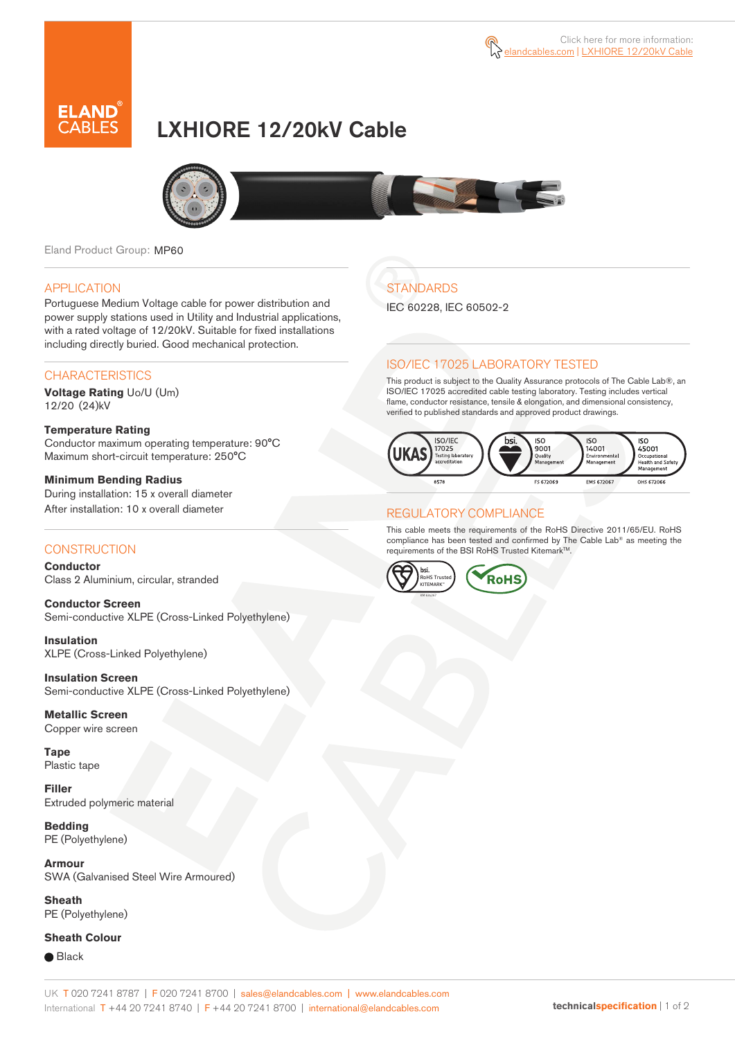

# LXHIORE 12/20kV Cable



Eland Product Group: MP60

### APPLICATION

Portuguese Medium Voltage cable for power distribution and power supply stations used in Utility and Industrial applications, with a rated voltage of 12/20kV. Suitable for fixed installations including directly buried. Good mechanical protection.

### **CHARACTERISTICS**

**Voltage Rating** Uo/U (Um) 12/20 (24)kV

#### **Temperature Rating**  Conductor maximum operating temperature: 90°C Maximum short-circuit temperature: 250°C

**Minimum Bending Radius**  During installation: 15 x overall diameter After installation: 10 x overall diameter

### **CONSTRUCTION**

**Conductor**  Class 2 Aluminium, circular, stranded

**Conductor Screen** Semi-conductive XLPE (Cross-Linked Polyethylene)

**Insulation** XLPE (Cross-Linked Polyethylene)

**Insulation Screen** Semi-conductive XLPE (Cross-Linked Polyethylene)

**Metallic Screen**  Copper wire screen

**Tape** Plastic tape

**Filler** Extruded polymeric material

**Bedding** PE (Polyethylene)

**Armour** SWA (Galvanised Steel Wire Armoured)

**Sheath** PE (Polyethylene)

### **Sheath Colour**

**■** Black

## **STANDARDS**

IEC 60228, IEC 60502-2

### ISO/IEC 17025 LABORATORY TESTED

This product is subject to the Quality Assurance protocols of The Cable Lab®, an ISO/IEC 17025 accredited cable testing laboratory. Testing includes vertical flame, conductor resistance, tensile & elongation, and dimensional consistency, verified to published standards and approved product drawings.



### REGULATORY COMPLIANCE

This cable meets the requirements of the RoHS Directive 2011/65/EU. RoHS compliance has been tested and confirmed by The Cable Lab® as meeting the requirements of the BSI RoHS Trusted Kitemark™.